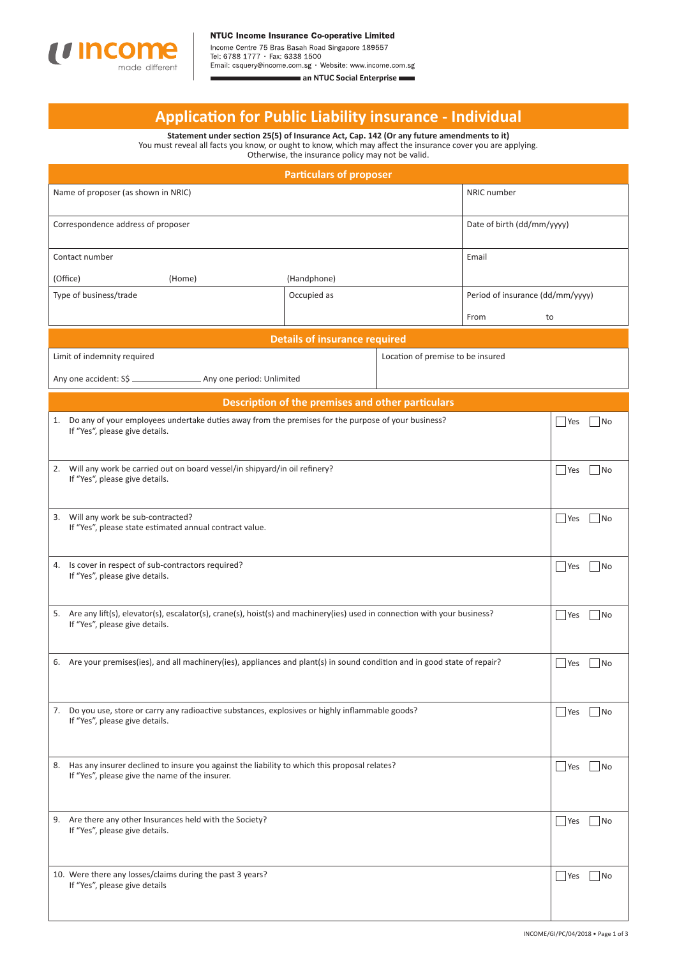

Income Centre 75 Bras Basah Road Singapore 189557<br>Tel: 6788 1777 · Fax: 6338 1500<br>Email: csquery@income.com.sg · Website: www.income.com.sg an NTUC Social Enterprise

# **Applicati on for Public Liability insurance - Individual**

**Statement under secti on 25(5) of Insurance Act, Cap. 142 (Or any future amendments to it)** You must reveal all facts you know, or ought to know, which may affect the insurance cover you are applying. Otherwise, the insurance policy may not be valid.

| <b>Particulars of proposer</b>                                                                                                                                |                                   |  |                                 |                                  |  |
|---------------------------------------------------------------------------------------------------------------------------------------------------------------|-----------------------------------|--|---------------------------------|----------------------------------|--|
| NRIC number<br>Name of proposer (as shown in NRIC)                                                                                                            |                                   |  |                                 |                                  |  |
| Correspondence address of proposer                                                                                                                            |                                   |  | Date of birth (dd/mm/yyyy)      |                                  |  |
| Contact number                                                                                                                                                |                                   |  | Email                           |                                  |  |
| (Office)<br>(Handphone)<br>(Home)                                                                                                                             |                                   |  |                                 |                                  |  |
| Type of business/trade                                                                                                                                        | Occupied as                       |  |                                 | Period of insurance (dd/mm/yyyy) |  |
|                                                                                                                                                               |                                   |  | From<br>to                      |                                  |  |
| <b>Details of insurance required</b>                                                                                                                          |                                   |  |                                 |                                  |  |
| Limit of indemnity required                                                                                                                                   | Location of premise to be insured |  |                                 |                                  |  |
|                                                                                                                                                               |                                   |  |                                 |                                  |  |
| Description of the premises and other particulars                                                                                                             |                                   |  |                                 |                                  |  |
| 1. Do any of your employees undertake duties away from the premises for the purpose of your business?<br>If "Yes", please give details.                       |                                   |  |                                 | Yes<br>  No                      |  |
| 2. Will any work be carried out on board vessel/in shipyard/in oil refinery?<br>If "Yes", please give details.                                                |                                   |  |                                 | Yes<br> No                       |  |
| 3. Will any work be sub-contracted?<br>If "Yes", please state estimated annual contract value.                                                                |                                   |  |                                 | Yes<br> No                       |  |
| 4. Is cover in respect of sub-contractors required?<br>If "Yes", please give details.                                                                         |                                   |  |                                 | <b>Yes</b><br> No                |  |
| 5. Are any lift(s), elevator(s), escalator(s), crane(s), hoist(s) and machinery(ies) used in connection with your business?<br>If "Yes", please give details. |                                   |  |                                 | Yes<br> No                       |  |
| 6. Are your premises (ies), and all machinery (ies), appliances and plant (s) in sound condition and in good state of repair?                                 |                                   |  |                                 | Yes<br> No                       |  |
| 7. Do you use, store or carry any radioactive substances, explosives or highly inflammable goods?<br>If "Yes", please give details.                           |                                   |  |                                 | Yes<br>$\overline{\mathsf{No}}$  |  |
| 8. Has any insurer declined to insure you against the liability to which this proposal relates?<br>If "Yes", please give the name of the insurer.             |                                   |  | Yes<br> No                      |                                  |  |
| 9. Are there any other Insurances held with the Society?<br>If "Yes", please give details.                                                                    |                                   |  | Yes<br>$\overline{\mathsf{No}}$ |                                  |  |
| 10. Were there any losses/claims during the past 3 years?<br>If "Yes", please give details                                                                    |                                   |  | Yes<br>No                       |                                  |  |
|                                                                                                                                                               |                                   |  |                                 |                                  |  |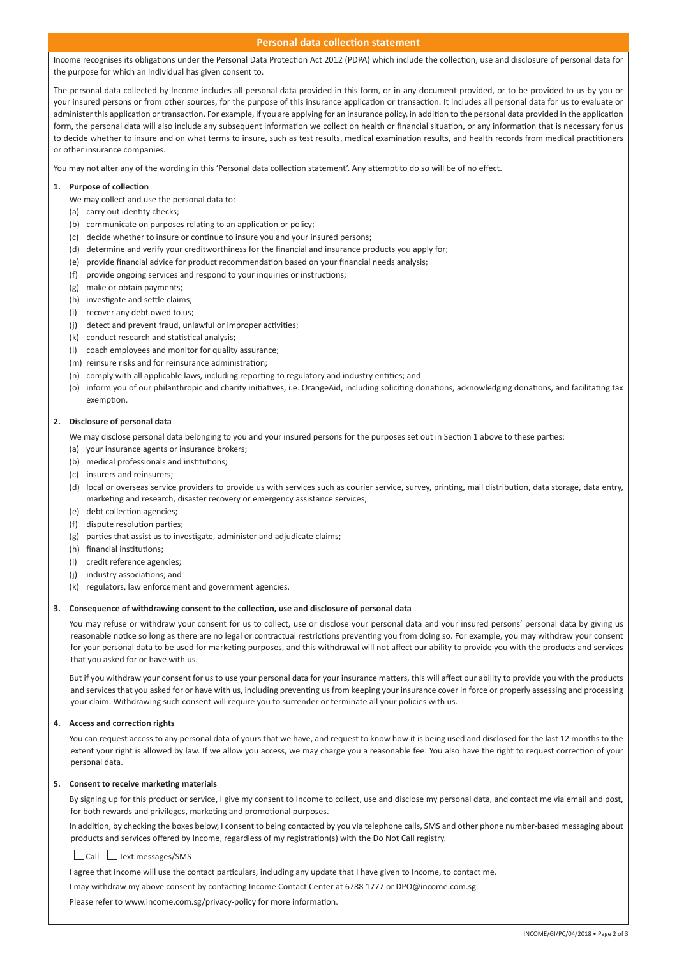### **Personal data collection statement**

Income recognises its obligations under the Personal Data Protection Act 2012 (PDPA) which include the collection, use and disclosure of personal data for the purpose for which an individual has given consent to.

The personal data collected by Income includes all personal data provided in this form, or in any document provided, or to be provided to us by you or your insured persons or from other sources, for the purpose of this insurance application or transaction. It includes all personal data for us to evaluate or administer this application or transaction. For example, if you are applying for an insurance policy, in addition to the personal data provided in the application form, the personal data will also include any subsequent information we collect on health or financial situation, or any information that is necessary for us to decide whether to insure and on what terms to insure, such as test results, medical examination results, and health records from medical practitioners or other insurance companies.

You may not alter any of the wording in this 'Personal data collection statement'. Any attempt to do so will be of no effect.

#### 1. Purpose of collection

- We may collect and use the personal data to:
- (a) carry out identity checks;
- (b) communicate on purposes relating to an application or policy;
- (c) decide whether to insure or continue to insure you and your insured persons;
- (d) determine and verify your creditworthiness for the financial and insurance products you apply for:
- (e) provide financial advice for product recommendation based on your financial needs analysis;
- (f) provide ongoing services and respond to your inquiries or instructions;
- (g) make or obtain payments;
- (h) investigate and settle claims;
- (i) recover any debt owed to us;
- (j) detect and prevent fraud, unlawful or improper activities;
- (k) conduct research and statistical analysis;
- (l) coach employees and monitor for quality assurance;
- (m) reinsure risks and for reinsurance administration;
- (n) comply with all applicable laws, including reporting to regulatory and industry entities; and
- (o) inform you of our philanthropic and charity initiatives, i.e. OrangeAid, including soliciting donations, acknowledging donations, and facilitating tax exemption.

#### **2. Disclosure of personal data**

We may disclose personal data belonging to you and your insured persons for the purposes set out in Section 1 above to these parties:

- (a) your insurance agents or insurance brokers;
- (b) medical professionals and institutions;
- (c) insurers and reinsurers;
- (d) local or overseas service providers to provide us with services such as courier service, survey, printing, mail distribution, data storage, data entry, marketing and research, disaster recovery or emergency assistance services;
- (e) debt collection agencies;
- (f) dispute resolution parties;
- $(g)$  parties that assist us to investigate, administer and adjudicate claims;
- (h) financial institutions:
- (i) credit reference agencies;
- (i) industry associations; and
- (k) regulators, law enforcement and government agencies.

#### 3. Consequence of withdrawing consent to the collection, use and disclosure of personal data

You mav refuse or withdraw your consent for us to collect, use or disclose your personal data and your insured persons' personal data by giving us reasonable notice so long as there are no legal or contractual restrictions preventing you from doing so. For example, you may withdraw your consent for your personal data to be used for marketing purposes, and this withdrawal will not affect our ability to provide you with the products and services that you asked for or have with us.

But if you withdraw your consent for us to use your personal data for your insurance matters, this will affect our ability to provide you with the products and services that you asked for or have with us, including preventing us from keeping your insurance cover in force or properly assessing and processing your claim. Withdrawing such consent will require you to surrender or terminate all your policies with us.

#### **4.** Access and correction rights

 You can request access to any personal data of yours that we have, and request to know how it is being used and disclosed for the last 12 months to the extent your right is allowed by law. If we allow you access, we may charge you a reasonable fee. You also have the right to request correction of your personal data.

#### **5.** Consent to receive marketing materials

 By signing up for this product or service, I give my consent to Income to collect, use and disclose my personal data, and contact me via email and post, for both rewards and privileges, marketing and promotional purposes.

In addition, by checking the boxes below, I consent to being contacted by you via telephone calls, SMS and other phone number-based messaging about products and services offered by Income, regardless of my registration(s) with the Do Not Call registry.

## Call Text messages/SMS

I agree that Income will use the contact particulars, including any update that I have given to Income, to contact me.

I may withdraw my above consent by contacting Income Contact Center at 6788 1777 or DPO@income.com.sg.

Please refer to www.income.com.sg/privacy-policy for more information.